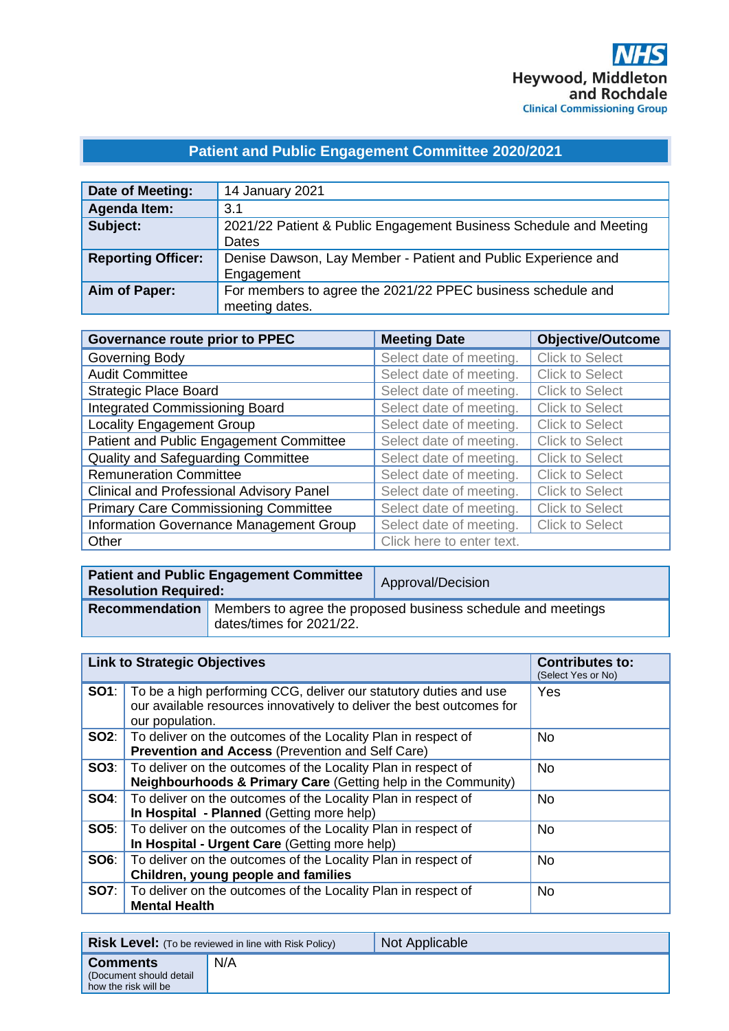# **Patient and Public Engagement Committee 2020/2021**

| Date of Meeting:          | 14 January 2021                                                               |
|---------------------------|-------------------------------------------------------------------------------|
| <b>Agenda Item:</b>       | 3.1                                                                           |
| Subject:                  | 2021/22 Patient & Public Engagement Business Schedule and Meeting<br>Dates    |
| <b>Reporting Officer:</b> | Denise Dawson, Lay Member - Patient and Public Experience and<br>Engagement   |
| Aim of Paper:             | For members to agree the 2021/22 PPEC business schedule and<br>meeting dates. |

| Governance route prior to PPEC                  | <b>Meeting Date</b>       | <b>Objective/Outcome</b> |
|-------------------------------------------------|---------------------------|--------------------------|
| Governing Body                                  | Select date of meeting.   | <b>Click to Select</b>   |
| <b>Audit Committee</b>                          | Select date of meeting.   | <b>Click to Select</b>   |
| <b>Strategic Place Board</b>                    | Select date of meeting.   | <b>Click to Select</b>   |
| <b>Integrated Commissioning Board</b>           | Select date of meeting.   | <b>Click to Select</b>   |
| <b>Locality Engagement Group</b>                | Select date of meeting.   | <b>Click to Select</b>   |
| Patient and Public Engagement Committee         | Select date of meeting.   | <b>Click to Select</b>   |
| <b>Quality and Safeguarding Committee</b>       | Select date of meeting.   | <b>Click to Select</b>   |
| <b>Remuneration Committee</b>                   | Select date of meeting.   | <b>Click to Select</b>   |
| <b>Clinical and Professional Advisory Panel</b> | Select date of meeting.   | <b>Click to Select</b>   |
| <b>Primary Care Commissioning Committee</b>     | Select date of meeting.   | <b>Click to Select</b>   |
| Information Governance Management Group         | Select date of meeting.   | <b>Click to Select</b>   |
| Other                                           | Click here to enter text. |                          |

| <b>Resolution Required:</b> | <b>Patient and Public Engagement Committee</b>                                                                   | Approval/Decision |
|-----------------------------|------------------------------------------------------------------------------------------------------------------|-------------------|
|                             | <b>Recommendation</b>   Members to agree the proposed business schedule and meetings<br>dates/times for 2021/22. |                   |

| <b>Link to Strategic Objectives</b> |                                                                                                                                                                            | <b>Contributes to:</b><br>(Select Yes or No) |
|-------------------------------------|----------------------------------------------------------------------------------------------------------------------------------------------------------------------------|----------------------------------------------|
|                                     | <b>SO1</b> : To be a high performing CCG, deliver our statutory duties and use<br>our available resources innovatively to deliver the best outcomes for<br>our population. | Yes                                          |
|                                     | <b>SO2:</b>   To deliver on the outcomes of the Locality Plan in respect of<br><b>Prevention and Access (Prevention and Self Care)</b>                                     | <b>No</b>                                    |
|                                     | <b>SO3:</b>   To deliver on the outcomes of the Locality Plan in respect of<br>Neighbourhoods & Primary Care (Getting help in the Community)                               | <b>No</b>                                    |
|                                     | <b>SO4:</b> To deliver on the outcomes of the Locality Plan in respect of<br>In Hospital - Planned (Getting more help)                                                     | <b>No</b>                                    |
|                                     | <b>SO5:</b>   To deliver on the outcomes of the Locality Plan in respect of<br>In Hospital - Urgent Care (Getting more help)                                               | <b>No</b>                                    |
| SOS:                                | To deliver on the outcomes of the Locality Plan in respect of<br>Children, young people and families                                                                       | <b>No</b>                                    |
|                                     | <b>SO7:</b> To deliver on the outcomes of the Locality Plan in respect of<br><b>Mental Health</b>                                                                          | <b>No</b>                                    |

|                                                                     | <b>Risk Level:</b> (To be reviewed in line with Risk Policy) | Not Applicable |
|---------------------------------------------------------------------|--------------------------------------------------------------|----------------|
| <b>Comments</b><br>(Document should detail)<br>how the risk will be | N/A                                                          |                |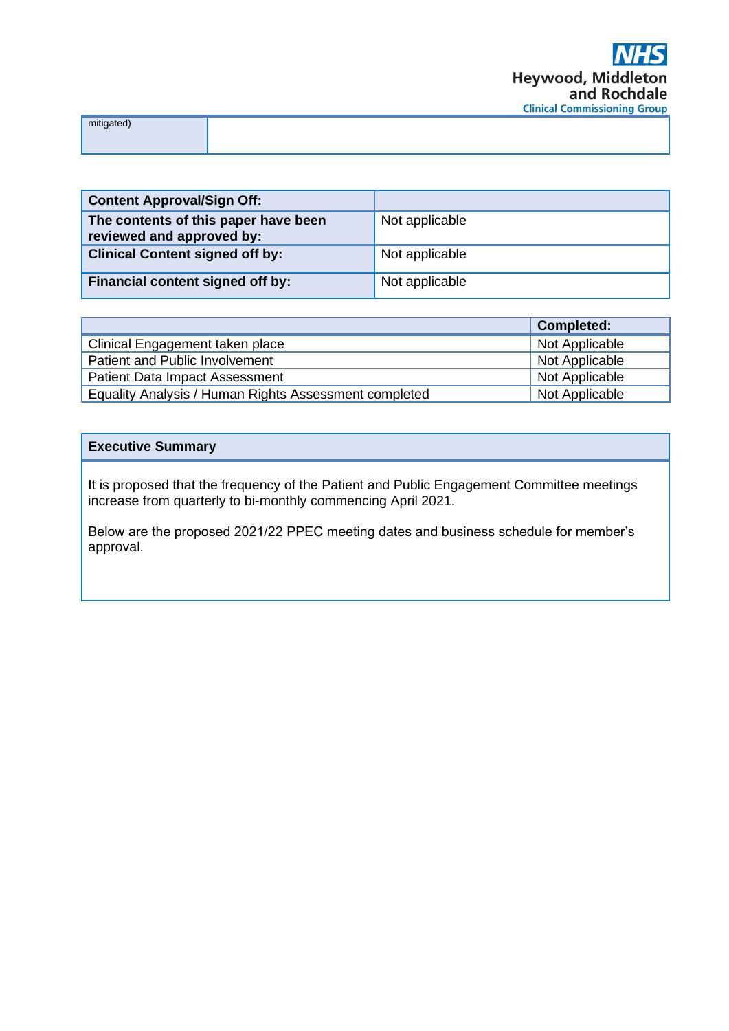|            | ------- |
|------------|---------|
| mitigated. |         |
|            |         |

| <b>Content Approval/Sign Off:</b>                                 |                |
|-------------------------------------------------------------------|----------------|
| The contents of this paper have been<br>reviewed and approved by: | Not applicable |
| <b>Clinical Content signed off by:</b>                            | Not applicable |
| Financial content signed off by:                                  | Not applicable |

|                                                       | <b>Completed:</b> |
|-------------------------------------------------------|-------------------|
| Clinical Engagement taken place                       | Not Applicable    |
| Patient and Public Involvement                        | Not Applicable    |
| <b>Patient Data Impact Assessment</b>                 | Not Applicable    |
| Equality Analysis / Human Rights Assessment completed | Not Applicable    |

#### **Executive Summary**

It is proposed that the frequency of the Patient and Public Engagement Committee meetings increase from quarterly to bi-monthly commencing April 2021.

Below are the proposed 2021/22 PPEC meeting dates and business schedule for member's approval.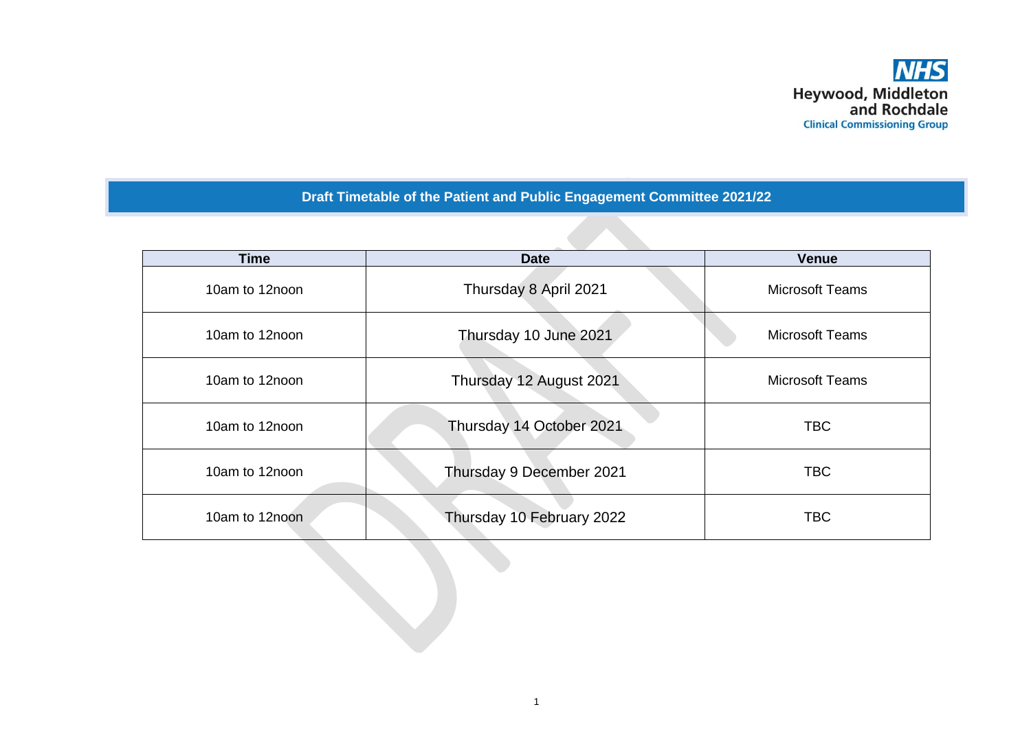# **Draft Timetable of the Patient and Public Engagement Committee 2021/22**

| <b>Time</b>    | <b>Date</b>               | <b>Venue</b>           |
|----------------|---------------------------|------------------------|
| 10am to 12noon | Thursday 8 April 2021     | <b>Microsoft Teams</b> |
| 10am to 12noon | Thursday 10 June 2021     | <b>Microsoft Teams</b> |
| 10am to 12noon | Thursday 12 August 2021   | <b>Microsoft Teams</b> |
| 10am to 12noon | Thursday 14 October 2021  | <b>TBC</b>             |
| 10am to 12noon | Thursday 9 December 2021  | <b>TBC</b>             |
| 10am to 12noon | Thursday 10 February 2022 | <b>TBC</b>             |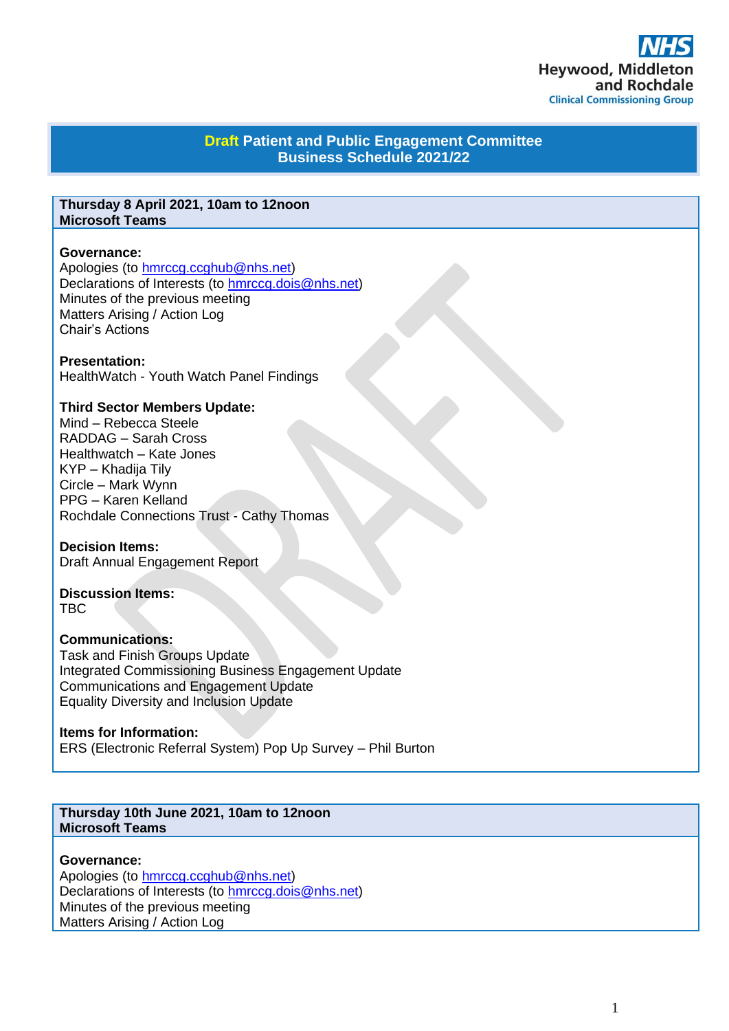## **Draft Patient and Public Engagement Committee Business Schedule 2021/22**

#### **Thursday 8 April 2021, 10am to 12noon Microsoft Teams**

#### **Governance:**

Apologies (to [hmrccg.ccghub@nhs.net\)](mailto:Stacey.brogan@nhs.net) Declarations of Interests (to [hmrccg.dois@nhs.net\)](mailto:hmrccg.dois@nhs.net) Minutes of the previous meeting Matters Arising / Action Log Chair's Actions

#### **Presentation:**

HealthWatch - Youth Watch Panel Findings

## **Third Sector Members Update:**

Mind – Rebecca Steele RADDAG – Sarah Cross Healthwatch – Kate Jones KYP – Khadija Tily Circle – Mark Wynn PPG – Karen Kelland Rochdale Connections Trust - Cathy Thomas

#### **Decision Items:**

Draft Annual Engagement Report

**Discussion Items:** TBC

#### **Communications:**

Task and Finish Groups Update Integrated Commissioning Business Engagement Update Communications and Engagement Update Equality Diversity and Inclusion Update

## **Items for Information:**

ERS (Electronic Referral System) Pop Up Survey – Phil Burton

## **Thursday 10th June 2021, 10am to 12noon Microsoft Teams**

#### **Governance:**

Apologies (to [hmrccg.ccghub@nhs.net\)](mailto:Stacey.brogan@nhs.net) Declarations of Interests (to [hmrccg.dois@nhs.net\)](mailto:hmrccg.dois@nhs.net) Minutes of the previous meeting Matters Arising / Action Log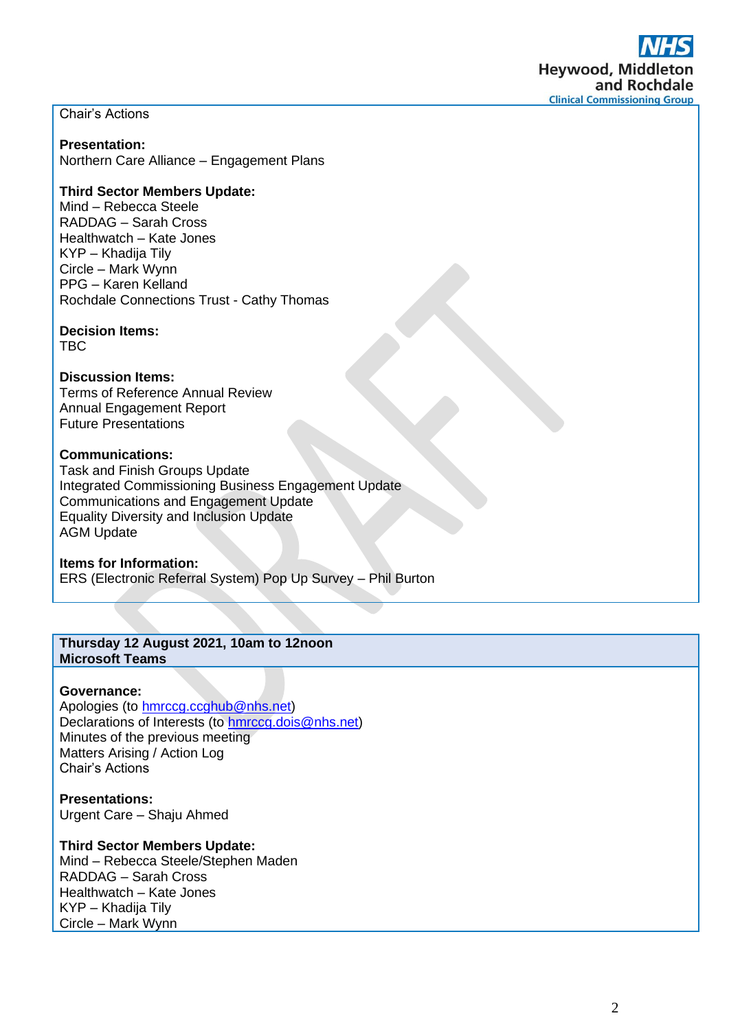Chair's Actions

**Presentation:** Northern Care Alliance – Engagement Plans

## **Third Sector Members Update:**

Mind – Rebecca Steele RADDAG – Sarah Cross Healthwatch – Kate Jones KYP – Khadija Tily Circle – Mark Wynn PPG – Karen Kelland Rochdale Connections Trust - Cathy Thomas

#### **Decision Items:** TBC

## **Discussion Items:**

Terms of Reference Annual Review Annual Engagement Report Future Presentations

## **Communications:**

Task and Finish Groups Update Integrated Commissioning Business Engagement Update Communications and Engagement Update Equality Diversity and Inclusion Update AGM Update

## **Items for Information:**

ERS (Electronic Referral System) Pop Up Survey – Phil Burton

#### **Thursday 12 August 2021, 10am to 12noon Microsoft Teams**

#### **Governance:**

Apologies (to [hmrccg.ccghub@nhs.net\)](mailto:Stacey.brogan@nhs.net) Declarations of Interests (to [hmrccg.dois@nhs.net\)](mailto:hmrccg.dois@nhs.net) Minutes of the previous meeting Matters Arising / Action Log Chair's Actions

**Presentations:** Urgent Care – Shaju Ahmed

## **Third Sector Members Update:**

Mind – Rebecca Steele/Stephen Maden RADDAG – Sarah Cross Healthwatch – Kate Jones KYP – Khadija Tily Circle – Mark Wynn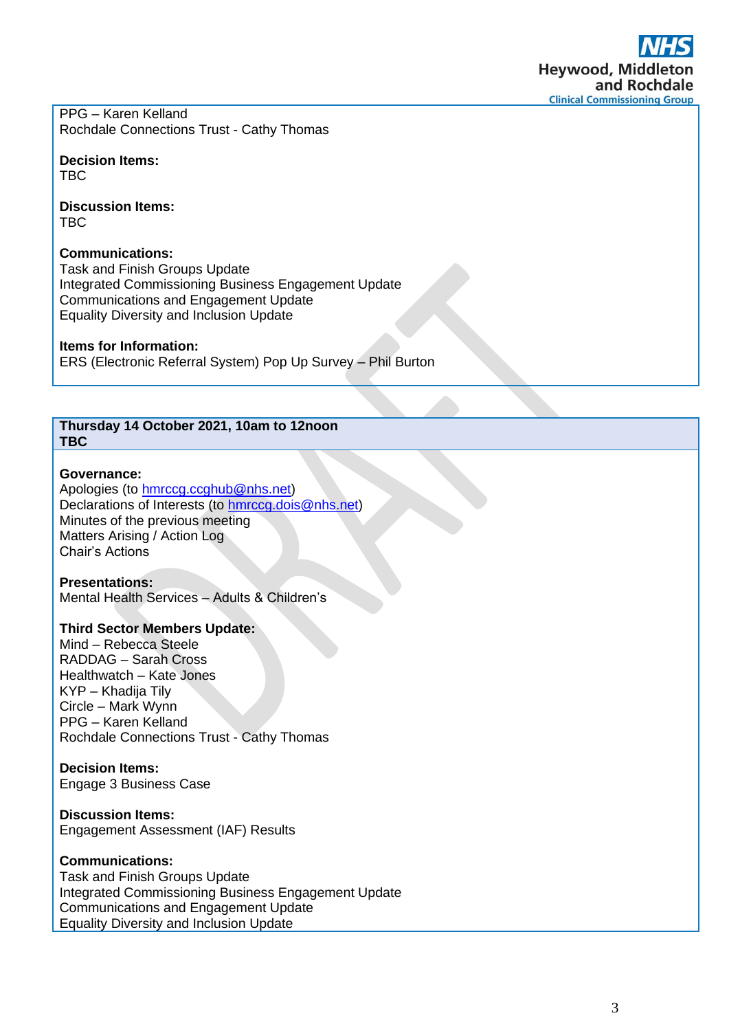PPG – Karen Kelland Rochdale Connections Trust - Cathy Thomas

**Decision Items:** TBC

**Discussion Items:** TBC

## **Communications:**

Task and Finish Groups Update Integrated Commissioning Business Engagement Update Communications and Engagement Update Equality Diversity and Inclusion Update

## **Items for Information:**

ERS (Electronic Referral System) Pop Up Survey – Phil Burton

#### **Thursday 14 October 2021, 10am to 12noon TBC**

#### **Governance:**

Apologies (to [hmrccg.ccghub@nhs.net\)](mailto:Stacey.brogan@nhs.net) Declarations of Interests (to [hmrccg.dois@nhs.net\)](mailto:hmrccg.dois@nhs.net) Minutes of the previous meeting Matters Arising / Action Log Chair's Actions

#### **Presentations:**

Mental Health Services – Adults & Children's

## **Third Sector Members Update:**

Mind – Rebecca Steele RADDAG – Sarah Cross Healthwatch – Kate Jones KYP – Khadija Tily Circle – Mark Wynn PPG – Karen Kelland Rochdale Connections Trust - Cathy Thomas

## **Decision Items:**

Engage 3 Business Case

## **Discussion Items:**

Engagement Assessment (IAF) Results

#### **Communications:**

Task and Finish Groups Update Integrated Commissioning Business Engagement Update Communications and Engagement Update Equality Diversity and Inclusion Update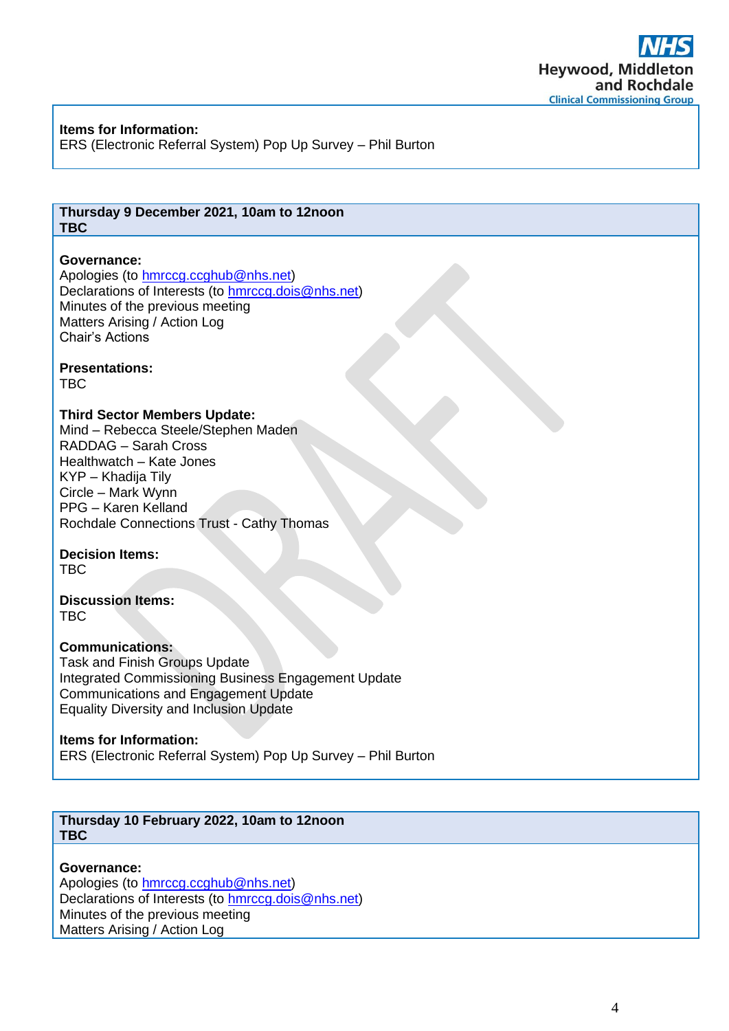## **Items for Information:**

ERS (Electronic Referral System) Pop Up Survey – Phil Burton

#### **Thursday 9 December 2021, 10am to 12noon TBC**

#### **Governance:**

Apologies (to [hmrccg.ccghub@nhs.net\)](mailto:Stacey.brogan@nhs.net) Declarations of Interests (to [hmrccg.dois@nhs.net\)](mailto:hmrccg.dois@nhs.net) Minutes of the previous meeting Matters Arising / Action Log Chair's Actions

#### **Presentations:**

TBC

#### **Third Sector Members Update:**

Mind – Rebecca Steele/Stephen Maden RADDAG – Sarah Cross Healthwatch – Kate Jones KYP – Khadija Tily Circle – Mark Wynn PPG – Karen Kelland Rochdale Connections Trust - Cathy Thomas

# **Decision Items:**

**TBC** 

#### **Discussion Items:** TBC

**Communications:** Task and Finish Groups Update Integrated Commissioning Business Engagement Update Communications and Engagement Update Equality Diversity and Inclusion Update

#### **Items for Information:**

ERS (Electronic Referral System) Pop Up Survey – Phil Burton

#### **Thursday 10 February 2022, 10am to 12noon TBC**

#### **Governance:**

Apologies (to [hmrccg.ccghub@nhs.net\)](mailto:Stacey.brogan@nhs.net) Declarations of Interests (to [hmrccg.dois@nhs.net\)](mailto:hmrccg.dois@nhs.net) Minutes of the previous meeting Matters Arising / Action Log